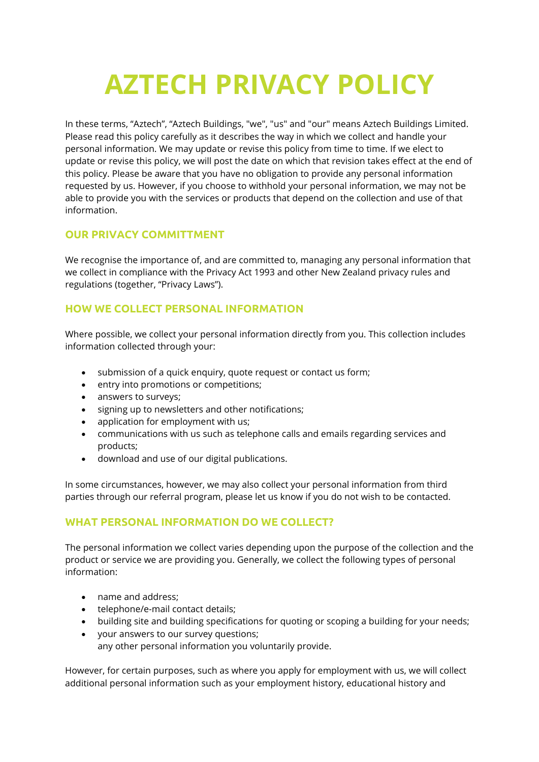# **AZTECH PRIVACY POLICY**

In these terms, "Aztech", "Aztech Buildings, "we", "us" and "our" means Aztech Buildings Limited. Please read this policy carefully as it describes the way in which we collect and handle your personal information. We may update or revise this policy from time to time. If we elect to update or revise this policy, we will post the date on which that revision takes effect at the end of this policy. Please be aware that you have no obligation to provide any personal information requested by us. However, if you choose to withhold your personal information, we may not be able to provide you with the services or products that depend on the collection and use of that information.

## **OUR PRIVACY COMMITTMENT**

We recognise the importance of, and are committed to, managing any personal information that we collect in compliance with the Privacy Act 1993 and other New Zealand privacy rules and regulations (together, "Privacy Laws").

## **HOW WE COLLECT PERSONAL INFORMATION**

Where possible, we collect your personal information directly from you. This collection includes information collected through your:

- submission of a quick enquiry, quote request or contact us form;
- entry into promotions or competitions;
- answers to surveys;
- signing up to newsletters and other notifications;
- application for employment with us;
- communications with us such as telephone calls and emails regarding services and products;
- download and use of our digital publications.

In some circumstances, however, we may also collect your personal information from third parties through our referral program, please let us know if you do not wish to be contacted.

#### **WHAT PERSONAL INFORMATION DO WE COLLECT?**

The personal information we collect varies depending upon the purpose of the collection and the product or service we are providing you. Generally, we collect the following types of personal information:

- name and address;
- telephone/e-mail contact details;
- building site and building specifications for quoting or scoping a building for your needs;
- your answers to our survey questions; any other personal information you voluntarily provide.

However, for certain purposes, such as where you apply for employment with us, we will collect additional personal information such as your employment history, educational history and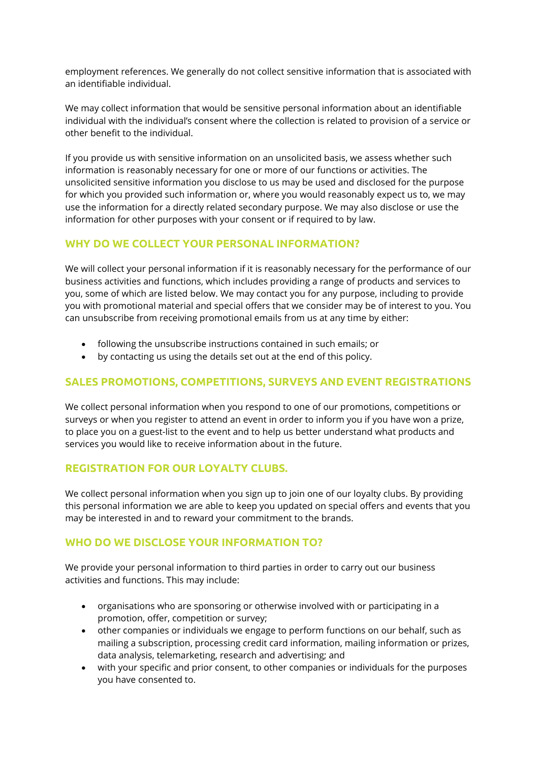employment references. We generally do not collect sensitive information that is associated with an identifiable individual.

We may collect information that would be sensitive personal information about an identifiable individual with the individual's consent where the collection is related to provision of a service or other benefit to the individual.

If you provide us with sensitive information on an unsolicited basis, we assess whether such information is reasonably necessary for one or more of our functions or activities. The unsolicited sensitive information you disclose to us may be used and disclosed for the purpose for which you provided such information or, where you would reasonably expect us to, we may use the information for a directly related secondary purpose. We may also disclose or use the information for other purposes with your consent or if required to by law.

#### **WHY DO WE COLLECT YOUR PERSONAL INFORMATION?**

We will collect your personal information if it is reasonably necessary for the performance of our business activities and functions, which includes providing a range of products and services to you, some of which are listed below. We may contact you for any purpose, including to provide you with promotional material and special offers that we consider may be of interest to you. You can unsubscribe from receiving promotional emails from us at any time by either:

- following the unsubscribe instructions contained in such emails; or
- by contacting us using the details set out at the end of this policy.

## **SALES PROMOTIONS, COMPETITIONS, SURVEYS AND EVENT REGISTRATIONS**

We collect personal information when you respond to one of our promotions, competitions or surveys or when you register to attend an event in order to inform you if you have won a prize, to place you on a guest-list to the event and to help us better understand what products and services you would like to receive information about in the future.

## **REGISTRATION FOR OUR LOYALTY CLUBS.**

We collect personal information when you sign up to join one of our loyalty clubs. By providing this personal information we are able to keep you updated on special offers and events that you may be interested in and to reward your commitment to the brands.

#### WHO DO WE DISCLOSE YOUR INFORMATION TO?

We provide your personal information to third parties in order to carry out our business activities and functions. This may include:

- organisations who are sponsoring or otherwise involved with or participating in a promotion, offer, competition or survey;
- other companies or individuals we engage to perform functions on our behalf, such as mailing a subscription, processing credit card information, mailing information or prizes, data analysis, telemarketing, research and advertising; and
- with your specific and prior consent, to other companies or individuals for the purposes you have consented to.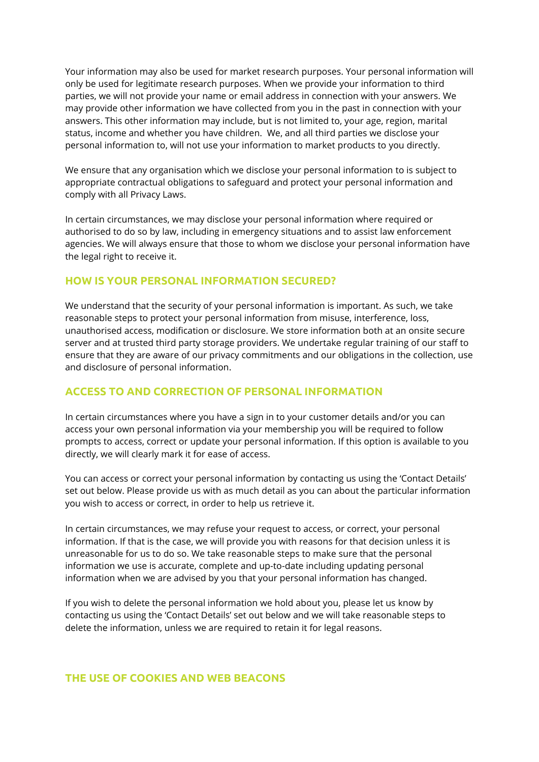Your information may also be used for market research purposes. Your personal information will only be used for legitimate research purposes. When we provide your information to third parties, we will not provide your name or email address in connection with your answers. We may provide other information we have collected from you in the past in connection with your answers. This other information may include, but is not limited to, your age, region, marital status, income and whether you have children. We, and all third parties we disclose your personal information to, will not use your information to market products to you directly.

We ensure that any organisation which we disclose your personal information to is subject to appropriate contractual obligations to safeguard and protect your personal information and comply with all Privacy Laws.

In certain circumstances, we may disclose your personal information where required or authorised to do so by law, including in emergency situations and to assist law enforcement agencies. We will always ensure that those to whom we disclose your personal information have the legal right to receive it.

#### **HOW IS YOUR PERSONAL INFORMATION SECURED?**

We understand that the security of your personal information is important. As such, we take reasonable steps to protect your personal information from misuse, interference, loss, unauthorised access, modification or disclosure. We store information both at an onsite secure server and at trusted third party storage providers. We undertake regular training of our staff to ensure that they are aware of our privacy commitments and our obligations in the collection, use and disclosure of personal information.

## **ACCESS TO AND CORRECTION OF PERSONAL INFORMATION**

In certain circumstances where you have a sign in to your customer details and/or you can access your own personal information via your membership you will be required to follow prompts to access, correct or update your personal information. If this option is available to you directly, we will clearly mark it for ease of access.

You can access or correct your personal information by contacting us using the 'Contact Details' set out below. Please provide us with as much detail as you can about the particular information you wish to access or correct, in order to help us retrieve it.

In certain circumstances, we may refuse your request to access, or correct, your personal information. If that is the case, we will provide you with reasons for that decision unless it is unreasonable for us to do so. We take reasonable steps to make sure that the personal information we use is accurate, complete and up-to-date including updating personal information when we are advised by you that your personal information has changed.

If you wish to delete the personal information we hold about you, please let us know by contacting us using the 'Contact Details' set out below and we will take reasonable steps to delete the information, unless we are required to retain it for legal reasons.

#### **THE USE OF COOKIES AND WEB BEACONS**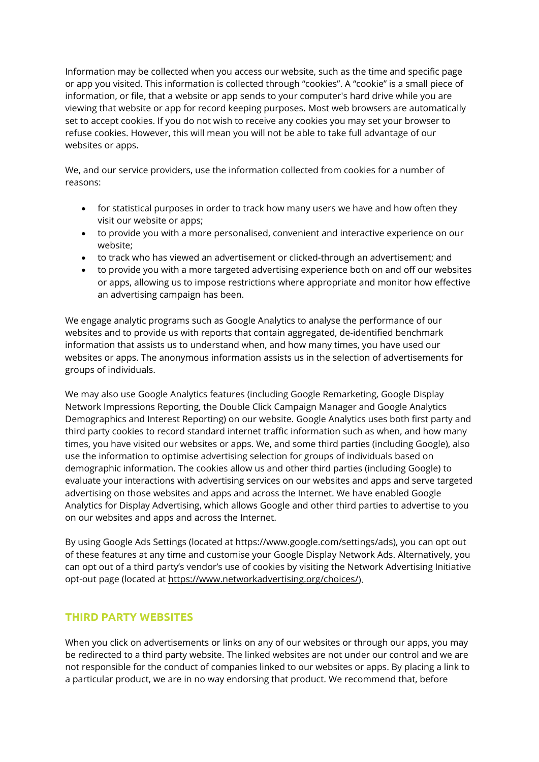Information may be collected when you access our website, such as the time and specific page or app you visited. This information is collected through "cookies". A "cookie" is a small piece of information, or file, that a website or app sends to your computer's hard drive while you are viewing that website or app for record keeping purposes. Most web browsers are automatically set to accept cookies. If you do not wish to receive any cookies you may set your browser to refuse cookies. However, this will mean you will not be able to take full advantage of our websites or apps.

We, and our service providers, use the information collected from cookies for a number of reasons:

- for statistical purposes in order to track how many users we have and how often they visit our website or apps;
- to provide you with a more personalised, convenient and interactive experience on our website;
- to track who has viewed an advertisement or clicked-through an advertisement; and
- to provide you with a more targeted advertising experience both on and off our websites or apps, allowing us to impose restrictions where appropriate and monitor how effective an advertising campaign has been.

We engage analytic programs such as Google Analytics to analyse the performance of our websites and to provide us with reports that contain aggregated, de-identified benchmark information that assists us to understand when, and how many times, you have used our websites or apps. The anonymous information assists us in the selection of advertisements for groups of individuals.

We may also use Google Analytics features (including Google Remarketing, Google Display Network Impressions Reporting, the Double Click Campaign Manager and Google Analytics Demographics and Interest Reporting) on our website. Google Analytics uses both first party and third party cookies to record standard internet traffic information such as when, and how many times, you have visited our websites or apps. We, and some third parties (including Google), also use the information to optimise advertising selection for groups of individuals based on demographic information. The cookies allow us and other third parties (including Google) to evaluate your interactions with advertising services on our websites and apps and serve targeted advertising on those websites and apps and across the Internet. We have enabled Google Analytics for Display Advertising, which allows Google and other third parties to advertise to you on our websites and apps and across the Internet.

By using Google Ads Settings (located at https://www.google.com/settings/ads), you can opt out of these features at any time and customise your Google Display Network Ads. Alternatively, you can opt out of a third party's vendor's use of cookies by visiting the Network Advertising Initiative opt-out page (located at [https://www.networkadvertising.org/choices/\)](https://www.networkadvertising.org/choices/).

## **THIRD PARTY WEBSITES**

When you click on advertisements or links on any of our websites or through our apps, you may be redirected to a third party website. The linked websites are not under our control and we are not responsible for the conduct of companies linked to our websites or apps. By placing a link to a particular product, we are in no way endorsing that product. We recommend that, before